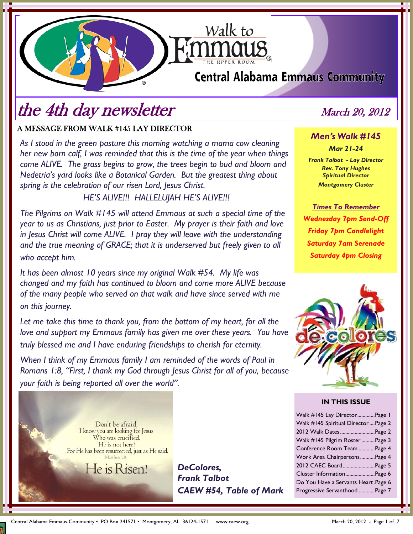# **Central Alabama Emmaus Community**

Walk to

# the 4th day newsletter March 20, 2012

## A MESSAGE FROM WALK #145 LAY DIRECTOR

*As I stood in the green pasture this morning watching a mama cow cleaning her new born calf, I was reminded that this is the time of the year when things come ALIVE. The grass begins to grow, the trees begin to bud and bloom and Nedetria's yard looks like a Botanical Garden. But the greatest thing about spring is the celebration of our risen Lord, Jesus Christ.* 

 *HE'S ALIVE!!! HALLELUJAH HE'S ALIVE!!!* 

*The Pilgrims on Walk #145 will attend Emmaus at such a special time of the year to us as Christians, just prior to Easter. My prayer is their faith and love in Jesus Christ will come ALIVE. I pray they will leave with the understanding*  and the true meaning of GRACE; that it is underserved but freely given to all *who accept him.* 

*It has been almost 10 years since my original Walk #54. My life was changed and my faith has continued to bloom and come more ALIVE because of the many people who served on that walk and have since served with me on this journey.* 

*Let me take this time to thank you, from the bottom of my heart, for all the love and support my Emmaus family has given me over these years. You have truly blessed me and I have enduring friendships to cherish for eternity.* 

*When I think of my Emmaus family I am reminded of the words of Paul in Romans 1:8, "First, I thank my God through Jesus Christ for all of you, because your faith is being reported all over the world".* 



*DeColores, Frank Talbot CAEW #54, Table of Mark* 

# *Men's Walk #145 Mar 21-24*

*Frank Talbot - Lay Director Rev. Tony Hughes Spiritual Director Montgomery Cluster* 

*Times To Remember Wednesday 7pm Send-Off Friday 7pm Candlelight Saturday 7am Serenade Saturday 4pm Closing*



#### **IN THIS ISSUE**

| Walk #145 Lay DirectorPage 1         |  |
|--------------------------------------|--|
| Walk #145 Spiritual Director  Page 2 |  |
| 2012 Walk Dates Page 2               |  |
| Walk #145 Pilgrim Roster Page 3      |  |
| Conference Room Team Page 4          |  |
| Work Area ChairpersonsPage 4         |  |
| 2012 CAEC BoardPage 5                |  |
| Cluster InformationPage 6            |  |
| Do You Have a Servants Heart. Page 6 |  |
| Progressive Servanthood Page 7       |  |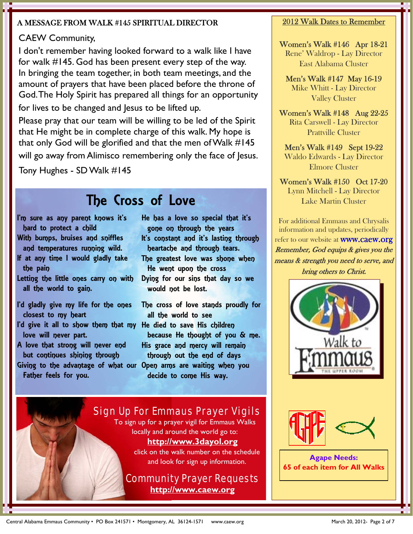### A MESSAGE FROM WALK #145 SPIRITUAL DIRECTOR

## CAEW Community,

I don't remember having looked forward to a walk like I have for walk #145. God has been present every step of the way. In bringing the team together, in both team meetings, and the amount of prayers that have been placed before the throne of God. The Holy Spirit has prepared all things for an opportunity for lives to be changed and Jesus to be lifted up.

Please pray that our team will be willing to be led of the Spirit that He might be in complete charge of this walk. My hope is that only God will be glorified and that the men of Walk #145

will go away from Alimisco remembering only the face of Jesus.

Tony Hughes - SD Walk #145

# The Cross of Love

- I'm sure as any parent knows it's
- hard to protect a child With bumps, bruises and sniffles
- and temperatures running wild.
- If at any time I would gladly take the pain
- Letting the little ones carry on with all the world to gain.
- I'd gladly give my life for the ones closest to my heart
- I'd give it all to show them that my He died to save His children love will never part.
- A love that strong will never end but continues shining through
- Giving to the advantage of what our Open arms are waiting when you Father feels for you.

He has a love so special that it's gone on through the years It's constant and it's lasting through heartache and through tears. The greatest love was shone when He went upon the cross Dying for our sins that day so we would not be lost.

The cross of love stands proudly for all the world to see because He thought of you & me. His grace and mercy will remain through out the end of days decide to come His way.

# Sign Up For Emmaus Prayer Vigils To sign up for a prayer vigil for Emmaus Walks locally and around the world go to:

## **http://www.3dayol.org**

click on the walk number on the schedule and look for sign up information.

## Community Prayer Requests **http://www.caew.org**

### 2012 Walk Dates to Remember

Women's Walk #146 Apr 18-21 Rene' Waldrop - Lay Director East Alabama Cluster

Men's Walk #147 May 16-19 Mike Whitt - Lay Director Valley Cluster

Women's Walk #148 Aug 22-25 Rita Carswell - Lay Director Prattville Cluster

Men's Walk #149 Sept 19-22 Waldo Edwards - Lay Director Elmore Cluster

Women's Walk #150 Oct 17-20 Lynn Mitchell - Lay Director Lake Martin Cluster

For additional Emmaus and Chrysalis information and updates, periodically

refer to our website at **WWW.CaeW.Org** Remember, God equips & gives you the means & strength you need to serve, and bring others to Christ.





**Agape Needs: 65 of each item for All Walks**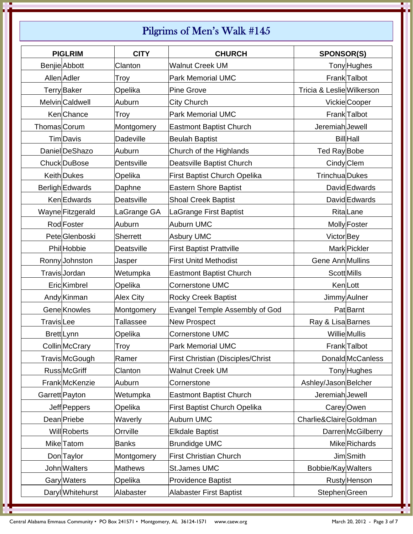# Pilgrims of Men's Walk #145

| <b>PIGLRIM</b>            | <b>CITY</b>      | <b>CHURCH</b>                         | <b>SPONSOR(S)</b>         |                         |
|---------------------------|------------------|---------------------------------------|---------------------------|-------------------------|
| Benjie Abbott             | Clanton          | <b>Walnut Creek UM</b>                |                           | Tony Hughes             |
| Allen Adler               | Troy             | <b>Park Memorial UMC</b>              |                           | Frank Talbot            |
| <b>Terry</b> Baker        | Opelika          | <b>Pine Grove</b>                     | Tricia & Leslie Wilkerson |                         |
| MelvinCaldwell            | Auburn           | City Church                           |                           | VickieCooper            |
| KenChance                 | Troy             | <b>Park Memorial UMC</b>              |                           | Frank Talbot            |
| <b>Thomas</b> Corum       | Montgomery       | <b>Eastmont Baptist Church</b>        | Jeremiah Jewell           |                         |
| <b>TimDavis</b>           | Dadeville        | <b>Beulah Baptist</b>                 |                           | <b>Bill</b> Hall        |
| DanielDeShazo             | Auburn           | Church of the Highlands               | Ted Ray Bobe              |                         |
| Chuck DuBose              | Dentsville       | Deatsville Baptist Church             |                           | Cindy Clem              |
| Keith Dukes               | Opelika          | <b>First Baptist Church Opelika</b>   | <b>TrinchuaDukes</b>      |                         |
| Berligh Edwards           | Daphne           | <b>Eastern Shore Baptist</b>          |                           | David Edwards           |
| KenEdwards                | Deatsville       | <b>Shoal Creek Baptist</b>            |                           | David Edwards           |
| Wayne Fitzgerald          | LaGrange GA      | LaGrange First Baptist                |                           | RitaLane                |
| Rod Foster                | Auburn           | Auburn UMC                            |                           | Molly Foster            |
| Pete <sup>Glenboski</sup> | <b>Sherrett</b>  | Asbury UMC                            | Victor <sub>Bey</sub>     |                         |
| Phil <sub>Hobbie</sub>    | Deatsville       | <b>First Baptist Prattville</b>       |                           | <b>Mark Pickler</b>     |
| Ronny Johnston            | Jasper           | <b>First Unitd Methodist</b>          | Gene Ann Mullins          |                         |
| TravisJordan              | Wetumpka         | <b>Eastmont Baptist Church</b>        | Scott Mills               |                         |
| Eric <i>Kimbrel</i>       | Opelika          | <b>Cornerstone UMC</b>                |                           | KenLott                 |
| Andy Kinman               | <b>Alex City</b> | <b>Rocky Creek Baptist</b>            |                           | Jimmy Aulner            |
| Gene Knowles              | Montgomery       | <b>Evangel Temple Assembly of God</b> |                           | <b>Pat</b> Barnt        |
| <b>Travis</b> Lee         | <b>Tallassee</b> | <b>New Prospect</b>                   | Ray & Lisa Barnes         |                         |
| Brett Lynn                | Opelika          | Cornerstone UMC                       |                           | Willie Mullis           |
| Collin McCrary            | Troy             | Park Memorial UMC                     |                           | Frank Talbot            |
| Travis McGough            | Ramer            | First Christian (Disciples/Christ     |                           | <b>Donald</b> McCanless |
| <b>Russ</b> McGriff       | Clanton          | <b>Walnut Creek UM</b>                |                           | <b>Tony</b> Hughes      |
| Frank McKenzie            | Auburn           | Cornerstone                           | Ashley/Jason Belcher      |                         |
| Garrett Payton            | Wetumpka         | <b>Eastmont Baptist Church</b>        | Jeremiah Jewell           |                         |
| Jeff Peppers              | Opelika          | First Baptist Church Opelika          |                           | Carey Owen              |
| Dean Priebe               | Waverly          | Auburn UMC                            | Charlie&ClaireGoldman     |                         |
| <b>Will</b> Roberts       | Orrville         | <b>Elkdale Baptist</b>                |                           | Darren McGilberry       |
| Mike Tatom                | <b>Banks</b>     | <b>Brundidge UMC</b>                  |                           | MikeRichards            |
| Don Taylor                | Montgomery       | <b>First Christian Church</b>         |                           | JimSmith                |
| John Walters              | <b>Mathews</b>   | St.James UMC                          | Bobbie/Kay Walters        |                         |
| <b>Gary</b> Waters        | Opelika          | <b>Providence Baptist</b>             |                           | Rusty Henson            |
| Daryl Whitehurst          | Alabaster        | <b>Alabaster First Baptist</b>        | StephenGreen              |                         |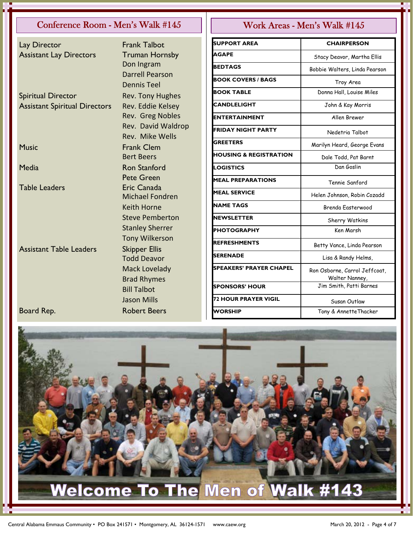### Conference Room - Men's Walk #145 || Work Areas - Men's Walk #145

Lay Director **Frank Talbot** Assistant Lay Directors Truman Hornsby

Spiritual Director Rev. Tony Hughes Assistant Spiritual Directors Rev. Eddie Kelsey

Assistant Table Leaders Skipper Ellis

 Don Ingram Darrell Pearson Dennis Teel Rev. Greg Nobles Rev. David Waldrop Rev. Mike Wells Music **Frank Clem**  Bert Beers Media **Ron Stanford**  Pete Green Table Leaders **Eric Canada**  Michael Fondren Keith Horne Steve Pemberton Stanley Sherrer Tony Wilkerson Todd Deavor Mack Lovelady Brad Rhymes Bill Talbot Jason Mills Board Rep. **Robert Beers** 

| <b>SUPPORT AREA</b>               | <b>CHAIRPERSON</b>                              |  |
|-----------------------------------|-------------------------------------------------|--|
| <b>AGAPE</b>                      | Stacy Deavor, Martha Ellis                      |  |
| <b>BEDTAGS</b>                    | Bobbie Walters, Linda Pearson                   |  |
| <b>BOOK COVERS / BAGS</b>         | Troy Area                                       |  |
| <b>BOOK TABLE</b>                 | Donna Hall, Louise Miles                        |  |
| <b>CANDLELIGHT</b>                | John & Kay Morris                               |  |
| <b>ENTERTAINMENT</b>              | Allen Brewer                                    |  |
| <b>FRIDAY NIGHT PARTY</b>         | Nedetria Talbot                                 |  |
| <b>GREETERS</b>                   | Marilyn Heard, George Evans                     |  |
| <b>HOUSING &amp; REGISTRATION</b> | Dale Todd, Pat Barnt                            |  |
| <b>LOGISTICS</b>                  | Dan Goslin                                      |  |
| <b>MEAL PREPARATIONS</b>          | Tennie Sanford                                  |  |
| <b>MEAL SERVICE</b>               | Helen Johnson, Robin Cozadd                     |  |
| <b>NAME TAGS</b>                  | Brenda Easterwood                               |  |
| <b>NEWSLETTER</b>                 | Sherry Watkins                                  |  |
| <b>PHOTOGRAPHY</b>                | Ken Marsh                                       |  |
| REFRESHMENTS                      | Betty Vance, Linda Pearson                      |  |
| <b>SERENADE</b>                   | Lisa & Randy Helms,                             |  |
| <b>SPEAKERS' PRAYER CHAPEL</b>    | Ron Osborne, Carrol Jeffcoat,<br>Walter Nanney, |  |
| <b>SPONSORS' HOUR</b>             | Jim Smith, Patti Barnes                         |  |
| <b>72 HOUR PRAYER VIGIL</b>       | Susan Outlaw                                    |  |
| <b>WORSHIP</b>                    | Tony & AnnetteThacker                           |  |

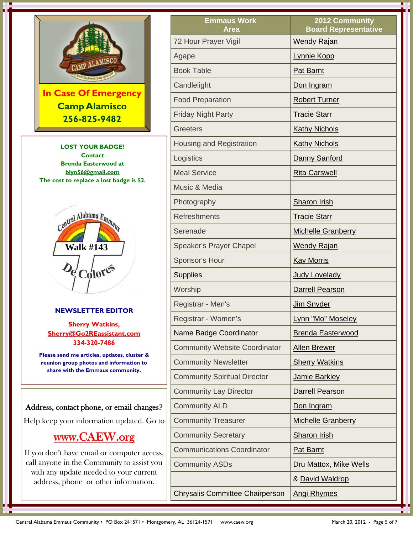

# www.CAEW.org

If you don't have email or computer access, call anyone in the Community to assist you with any update needed to your current address, phone or other information.

| <b>Emmaus Work</b><br>Area                           | 2012 Community<br><b>Board Representative</b> |  |
|------------------------------------------------------|-----------------------------------------------|--|
| 72 Hour Prayer Vigil                                 | <b>Wendy Rajan</b>                            |  |
| Agape                                                | <b>Lynnie Kopp</b>                            |  |
| <b>Book Table</b>                                    | <b>Pat Barnt</b>                              |  |
| Candlelight                                          | Don Ingram                                    |  |
| <b>Food Preparation</b>                              | <b>Robert Turner</b>                          |  |
| <b>Friday Night Party</b>                            | <b>Tracie Starr</b>                           |  |
| <b>Greeters</b>                                      | <b>Kathy Nichols</b>                          |  |
| <b>Housing and Registration</b>                      | <b>Kathy Nichols</b>                          |  |
| Logistics                                            | Danny Sanford                                 |  |
| <b>Meal Service</b>                                  | <b>Rita Carswell</b>                          |  |
| Music & Media                                        |                                               |  |
| Photography                                          | <b>Sharon Irish</b>                           |  |
| <b>Refreshments</b>                                  | <b>Tracie Starr</b>                           |  |
| Serenade                                             | <b>Michelle Granberry</b>                     |  |
| <b>Speaker's Prayer Chapel</b>                       | <b>Wendy Rajan</b>                            |  |
| Sponsor's Hour                                       | <b>Kay Morris</b>                             |  |
| <b>Supplies</b>                                      | <b>Judy Lovelady</b>                          |  |
| Worship                                              | <b>Darrell Pearson</b>                        |  |
| Registrar - Men's                                    | Jim Snyder                                    |  |
| Registrar - Women's                                  | Lynn "Mo" Moseley                             |  |
| Name Badge Coordinator                               | <b>Brenda Easterwood</b>                      |  |
| <b>Community Website Coordinator</b>                 | <b>Allen Brewer</b>                           |  |
| <b>Community Newsletter</b><br><b>Sherry Watkins</b> |                                               |  |
| <b>Community Spiritual Director</b>                  | Jamie Barkley                                 |  |
| <b>Community Lay Director</b>                        | <b>Darrell Pearson</b>                        |  |
| <b>Community ALD</b>                                 | Don Ingram                                    |  |
| <b>Community Treasurer</b>                           | <b>Michelle Granberry</b>                     |  |
| <b>Community Secretary</b>                           | <b>Sharon Irish</b>                           |  |
| <b>Communications Coordinator</b>                    | <b>Pat Barnt</b>                              |  |
| <b>Community ASDs</b>                                | Dru Mattox, Mike Wells                        |  |
|                                                      | & David Waldrop                               |  |
| <b>Chrysalis Committee Chairperson</b>               | <b>Angi Rhymes</b>                            |  |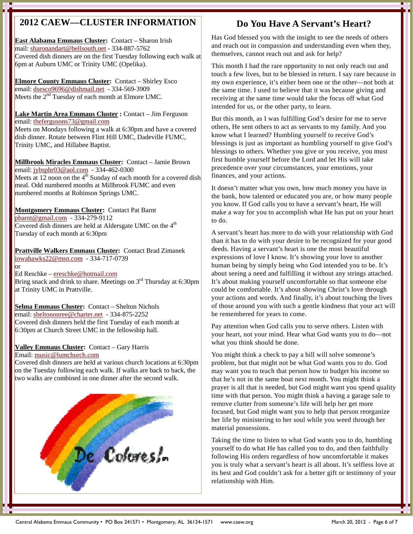# **2012 CAEW—CLUSTER INFORMATION**

**East Alabama Emmaus Cluster:** Contact – Sharon Irish mail: sharonandart@bellsouth.net - 334-887-5762 Covered dish dinners are on the first Tuesday following each walk at 6pm at Auburn UMC or Trinity UMC (Opelika).

**Elmore County Emmaus Cluster:** Contact – Shirley Esco email: dsesco9696@dishmail.net - 334-569-3909 Meets the  $2<sup>nd</sup>$  Tuesday of each month at Elmore UMC.

**Lake Martin Area Emmaus Cluster :** Contact – Jim Ferguson email: thefergusons73@gmail.com Meets on Mondays following a walk at 6:30pm and have a covered dish dinner. Rotate between Flint Hill UMC, Dadeville FUMC, Trinity UMC, and Hillabee Baptist.

**Millbrook Miracles Emmaus Cluster:** Contact – Jamie Brown email: jybsphr03@aol.com - 334-462-0300 Meets at 12 noon on the  $4<sup>th</sup>$  Sunday of each month for a covered dish meal. Odd numbered months at Millbrook FUMC and even numbered months at Robinson Springs UMC.

**Montgomery Emmaus Cluster:** Contact Pat Barnt pbarnt@gmail.com - 334-279-9112 Covered dish dinners are held at Aldersgate UMC on the  $4<sup>th</sup>$ Tuesday of each month at 6:30pm

**Prattville Walkers Emmaus Cluster:** Contact Brad Zimanek iowahawks22@msn.com - 334-717-0739 or

Ed Reschke – ereschke@hotmail.com Bring snack and drink to share. Meetings on  $3<sup>rd</sup>$  Thursday at 6:30pm at Trinity UMC in Prattville.

**Selma Emmaus Cluster:** Contact – Shelton Nichols email: sheltononree@charter.net - 334-875-2252 Covered dish dinners held the first Tuesday of each month at 6:30pm at Church Street UMC in the fellowship hall.

#### **Valley Emmaus Cluster:** Contact – Gary Harris Email: music@lumchurch.com

Covered dish dinners are held at various church locations at 6:30pm on the Tuesday following each walk. If walks are back to back, the two walks are combined in one dinner after the second walk.



# **Do You Have A Servant's Heart?**

Has God blessed you with the insight to see the needs of others and reach out in compassion and understanding even when they, themselves, cannot reach out and ask for help?

This month I had the rare opportunity to not only reach out and touch a few lives, but to be blessed in return. I say rare because in my own experience, it's either been one or the other—not both at the same time. I used to believe that it was because giving and receiving at the same time would take the focus off what God intended for us, or the other party, to learn.

But this month, as I was fulfilling God's desire for me to serve others, He sent others to act as servants to my family. And you know what I learned? Humbling yourself to receive God's blessings is just as important as humbling yourself to give God's blessings to others. Whether you give or you receive, you must first humble yourself before the Lord and let His will take precedence over your circumstances, your emotions, your finances, and your actions.

It doesn't matter what you own, how much money you have in the bank, how talented or educated you are, or how many people you know. If God calls you to have a servant's heart, He will make a way for you to accomplish what He has put on your heart to do.

A servant's heart has more to do with your relationship with God than it has to do with your desire to be recognized for your good deeds. Having a servant's heart is one the most beautiful expressions of love I know. It's showing your love to another human being by simply being who God intended you to be. It's about seeing a need and fulfilling it without any strings attached. It's about making yourself uncomfortable so that someone else could be comfortable. It's about showing Christ's love through your actions and words. And finally, it's about touching the lives of those around you with such a gentle kindness that your act will be remembered for years to come.

Pay attention when God calls you to serve others. Listen with your heart, not your mind. Hear what God wants you to do—not what you think should be done.

You might think a check to pay a bill will solve someone's problem, but that might not be what God wants you to do. God may want you to teach that person how to budget his income so that he's not in the same boat next month. You might think a prayer is all that is needed, but God might want you spend quality time with that person. You might think a having a garage sale to remove clutter from someone's life will help her get more focused, but God might want you to help that person reorganize her life by ministering to her soul while you weed through her material possessions.

Taking the time to listen to what God wants you to do, humbling yourself to do what He has called you to do, and then faithfully following His orders regardless of how uncomfortable it makes you is truly what a servant's heart is all about. It's selfless love at its best and God couldn't ask for a better gift or testimony of your relationship with Him.